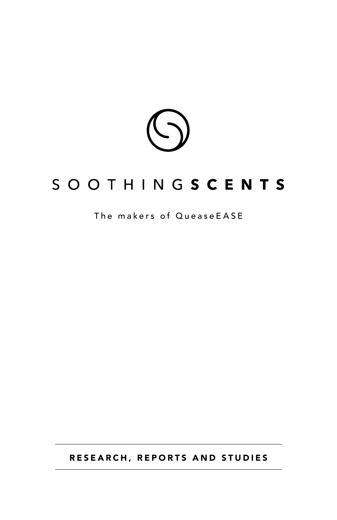

# SOOTHINGSCENTS

# The makers of QueaseEASE

RESEARCH, REPORTS AND STUDIES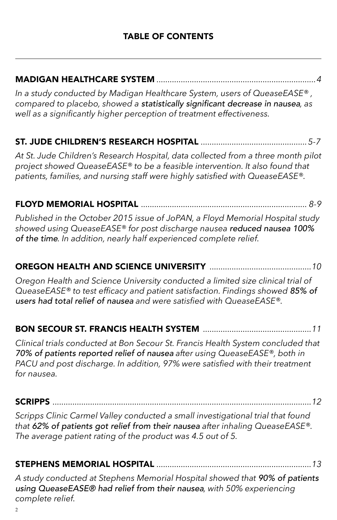# MADIGAN HEALTHCARE SYSTEM *........................................................................4*

*In a study conducted by Madigan Healthcare System, users of QueaseEASE® , compared to placebo, showed a* statistically significant decrease in nausea*, as well as a significantly higher perception of treatment effectiveness.*

# ST. JUDE CHILDREN'S RESEARCH HOSPITAL *................................................5-7*

*At St. Jude Children's Research Hospital, data collected from a three month pilot project showed QueaseEASE® to be a feasible intervention. It also found that patients, families, and nursing staff were highly satisfied with QueaseEASE®.*

# FLOYD MEMORIAL HOSPITAL *........................................................................... 8-9*

*Published in the October 2015 issue of JoPAN, a Floyd Memorial Hospital study showed using QueaseEASE® for post discharge nausea* reduced nausea 100% of the time*. In addition, nearly half experienced complete relief.*

# OREGON HEALTH AND SCIENCE UNIVERSITY *..............................................10*

*Oregon Health and Science University conducted a limited size clinical trial of QueaseEASE® to test efficacy and patient satisfaction. Findings showed* 85% of users had total relief of nausea *and were satisfied with QueaseEASE®.*

# BON SECOUR ST. FRANCIS HEALTH SYSTEM *............*

*Clinical trials conducted at Bon Secour St. Francis Health System concluded that*  70% of patients reported relief of nausea *after using QueaseEASE®, both in PACU and post discharge. In addition, 97% were satisfied with their treatment for nausea.*

#### SCRIPPS *.....................................................................................................................12*

*Scripps Clinic Carmel Valley conducted a small investigational trial that found that* 62% of patients got relief from their nausea *after inhaling QueaseEASE®. The average patient rating of the product was 4.5 out of 5.*

# STEPHENS MEMORIAL HOSPITAL *......................................................................13*

*A study conducted at Stephens Memorial Hospital showed that* 90% of patients using QueaseEASE® had relief from their nausea*, with 50% experiencing complete relief.*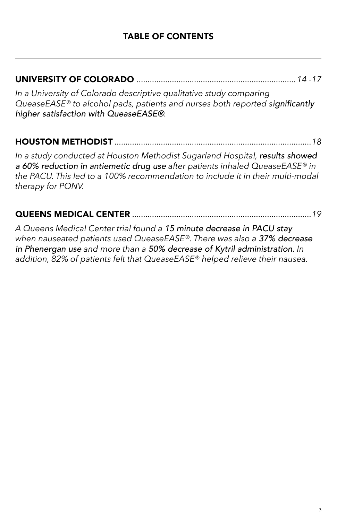# UNIVERSITY OF COLORADO *........................................................................14 -17*

*In a University of Colorado descriptive qualitative study comparing QueaseEASE® to alcohol pads, patients and nurses both reported s*ignificantly higher satisfaction with QueaseEASE®*.*

# HOUSTON METHODIST *.........................................................................................18*

*In a study conducted at Houston Methodist Sugarland Hospital,* results showed a 60% reduction in antiemetic drug use *after patients inhaled QueaseEASE® in the PACU. This led to a 100% recommendation to include it in their multi-modal therapy for PONV.*

### QUEENS MEDICAL CENTER *.................................................................................19*

*A Queens Medical Center trial found a* 15 minute decrease in PACU stay *when nauseated patients used QueaseEASE®. There was also a* 37% decrease in Phenergan use *and more than a* 50% decrease of Kytril administration. *In addition, 82% of patients felt that QueaseEASE® helped relieve their nausea.*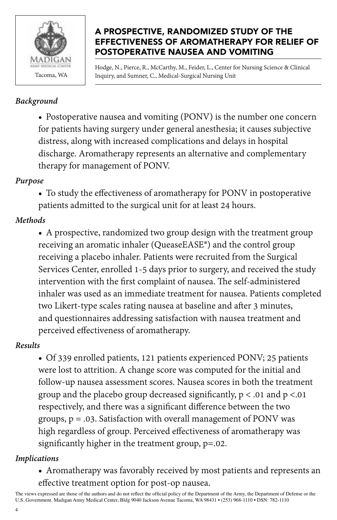

### A PROSPECTIVE, RANDOMIZED STUDY OF THE EFFECTIVENESS OF AROMATHERAPY FOR RELIEF OF POSTOPERATIVE NAUSEA AND VOMITING

Hodge, N., Pierce, R., McCarthy, M., Feider, L., Center for Nursing Science & Clinical Tacoma, WA Inquiry, and Sumner, C., Medical-Surgical Nursing Unit

#### *Background*

• Postoperative nausea and vomiting (PONV) is the number one concern for patients having surgery under general anesthesia; it causes subjective distress, along with increased complications and delays in hospital discharge. Aromatherapy represents an alternative and complementary therapy for management of PONV.

#### *Purpose*

• To study the effectiveness of aromatherapy for PONV in postoperative patients admitted to the surgical unit for at least 24 hours.

# *Methods*

• A prospective, randomized two group design with the treatment group receiving an aromatic inhaler (QueaseEASE®) and the control group receiving a placebo inhaler. Patients were recruited from the Surgical Services Center, enrolled 1-5 days prior to surgery, and received the study intervention with the first complaint of nausea. The self-administered inhaler was used as an immediate treatment for nausea. Patients completed two Likert-type scales rating nausea at baseline and after 3 minutes, and questionnaires addressing satisfaction with nausea treatment and perceived effectiveness of aromatherapy.

# *Results*

• Of 339 enrolled patients, 121 patients experienced PONV; 25 patients were lost to attrition. A change score was computed for the initial and follow-up nausea assessment scores. Nausea scores in both the treatment group and the placebo group decreased significantly,  $p < .01$  and  $p < .01$ respectively, and there was a significant difference between the two groups,  $p = .03$ . Satisfaction with overall management of PONV was high regardless of group. Perceived effectiveness of aromatherapy was significantly higher in the treatment group, p=.02.

#### *Implications*

4

• Aromatherapy was favorably received by most patients and represents an effective treatment option for post-op nausea.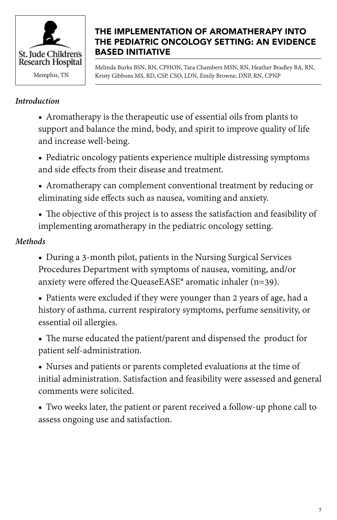

### THE IMPLEMENTATION OF AROMATHERAPY INTO THE PEDIATRIC ONCOLOGY SETTING: AN EVIDENCE BASED INITIATIVE

Melinda Burks BSN, RN, CPHON, Tara Chambers MSN, RN, Heather Bradley BA, RN, Memphis, TN Kristy Gibbons MS, RD, CSP, CSO, LDN, Emily Browne, DNP, RN, CPNP

#### *Introduction*

- Aromatherapy is the therapeutic use of essential oils from plants to support and balance the mind, body, and spirit to improve quality of life and increase well-being.
- Pediatric oncology patients experience multiple distressing symptoms and side effects from their disease and treatment.
- Aromatherapy can complement conventional treatment by reducing or eliminating side effects such as nausea, vomiting and anxiety.
- The objective of this project is to assess the satisfaction and feasibility of implementing aromatherapy in the pediatric oncology setting.

# *Methods*

- During a 3-month pilot, patients in the Nursing Surgical Services Procedures Department with symptoms of nausea, vomiting, and/or anxiety were offered the QueaseEASE® aromatic inhaler (n=39).
- Patients were excluded if they were younger than 2 years of age, had a history of asthma, current respiratory symptoms, perfume sensitivity, or essential oil allergies.
- The nurse educated the patient/parent and dispensed the product for patient self-administration.
- Nurses and patients or parents completed evaluations at the time of initial administration. Satisfaction and feasibility were assessed and general comments were solicited.
- Two weeks later, the patient or parent received a follow-up phone call to assess ongoing use and satisfaction.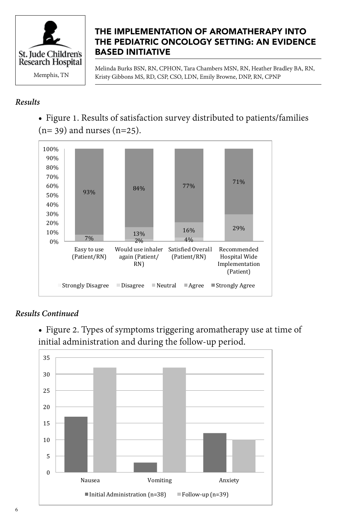

### THE IMPLEMENTATION OF AROMATHERAPY INTO THE PEDIATRIC ONCOLOGY SETTING: AN EVIDENCE BASED INITIATIVE

Melinda Burks BSN, RN, CPHON, Tara Chambers MSN, RN, Heather Bradley BA, RN, Memphis, TN Kristy Gibbons MS, RD, CSP, CSO, LDN, Emily Browne, DNP, RN, CPNP

#### *Results*

• Figure 1. Results of satisfaction survey distributed to patients/families  $(n= 39)$  and nurses  $(n=25)$ .



# Results Continued

- Figure 2. Types of symptoms triggering aromatherapy use at time of initial administration and during the follow-up period.

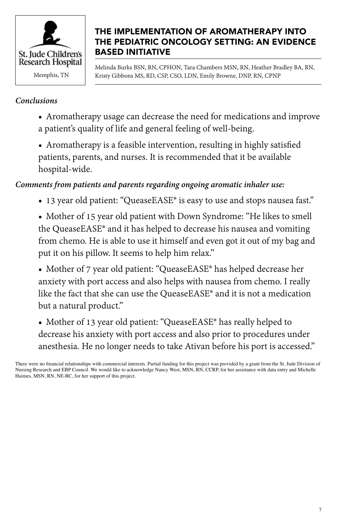

### THE IMPLEMENTATION OF AROMATHERAPY INTO THE PEDIATRIC ONCOLOGY SETTING: AN EVIDENCE BASED INITIATIVE

Melinda Burks BSN, RN, CPHON, Tara Chambers MSN, RN, Heather Bradley BA, RN, Memphis, TN Kristy Gibbons MS, RD, CSP, CSO, LDN, Emily Browne, DNP, RN, CPNP

#### *Conclusions*

- Aromatherapy usage can decrease the need for medications and improve a patient's quality of life and general feeling of well-being.
- Aromatherapy is a feasible intervention, resulting in highly satisfied patients, parents, and nurses. It is recommended that it be available hospital-wide.

#### *Comments from patients and parents regarding ongoing aromatic inhaler use:*

- 13 year old patient: "QueaseEASE® is easy to use and stops nausea fast."
- Mother of 15 year old patient with Down Syndrome: "He likes to smell the QueaseEASE® and it has helped to decrease his nausea and vomiting from chemo. He is able to use it himself and even got it out of my bag and put it on his pillow. It seems to help him relax."
- Mother of 7 year old patient: "QueaseEASE® has helped decrease her anxiety with port access and also helps with nausea from chemo. I really like the fact that she can use the QueaseEASE® and it is not a medication but a natural product."
- Mother of 13 year old patient: "QueaseEASE® has really helped to decrease his anxiety with port access and also prior to procedures under anesthesia. He no longer needs to take Ativan before his port is accessed."

There were no financial relationships with commercial interests. Partial funding for this project was provided by a grant from the St. Jude Division of Nursing Research and EBP Council. We would like to acknowledge Nancy West, MSN, RN, CCRP, for her assistance with data entry and Michelle Haimes, MSN, RN, NE-BC, for her support of this project.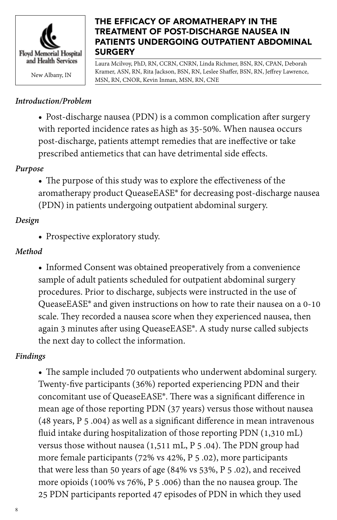

#### THE EFFICACY OF AROMATHERAPY IN THE TREATMENT OF POST-DISCHARGE NAUSEA IN PATIENTS UNDERGOING OUTPATIENT ABDOMINAL **SURGERY**

Laura Mcilvoy, PhD, RN, CCRN, CNRN, Linda Richmer, BSN, RN, CPAN, Deborah Kramer, ASN, RN, Rita Jackson, BSN, RN, Leslee Shaffer, BSN, RN, Jeffrey Lawrence, Namer, ASN, KN, KN, KR, ASSON, BSN, KN, Leslee<br>MSN, RN, CNOR, Kevin Inman, MSN, RN, CNE

# *Introduction/Problem*

• Post-discharge nausea (PDN) is a common complication after surgery with reported incidence rates as high as 35-50%. When nausea occurs post-discharge, patients attempt remedies that are ineffective or take prescribed antiemetics that can have detrimental side effects.

# *Purpose*

• The purpose of this study was to explore the effectiveness of the aromatherapy product QueaseEASE® for decreasing post-discharge nausea (PDN) in patients undergoing outpatient abdominal surgery.

# *Design*

• Prospective exploratory study.

# *Method*

• Informed Consent was obtained preoperatively from a convenience sample of adult patients scheduled for outpatient abdominal surgery procedures. Prior to discharge, subjects were instructed in the use of QueaseEASE® and given instructions on how to rate their nausea on a 0-10 scale. They recorded a nausea score when they experienced nausea, then again 3 minutes after using QueaseEASE®. A study nurse called subjects the next day to collect the information.

# *Findings*

• The sample included 70 outpatients who underwent abdominal surgery. Twenty-five participants (36%) reported experiencing PDN and their concomitant use of QueaseEASE®. There was a significant difference in mean age of those reporting PDN (37 years) versus those without nausea (48 years, P 5 .004) as well as a significant difference in mean intravenous fluid intake during hospitalization of those reporting PDN (1,310 mL) versus those without nausea (1,511 mL, P 5 .04). The PDN group had more female participants (72% vs 42%, P 5 .02), more participants that were less than 50 years of age (84% vs 53%, P 5 .02), and received more opioids (100% vs 76%, P 5 .006) than the no nausea group. The 25 PDN participants reported 47 episodes of PDN in which they used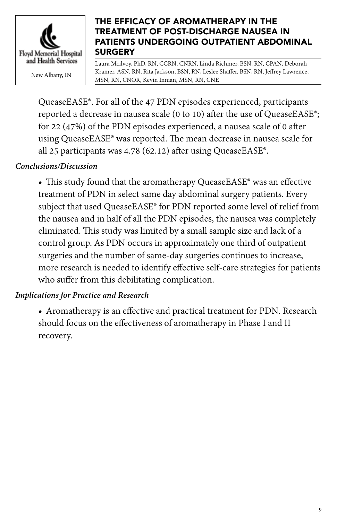

#### THE EFFICACY OF AROMATHERAPY IN THE TREATMENT OF POST-DISCHARGE NAUSEA IN PATIENTS UNDERGOING OUTPATIENT ABDOMINAL **SURGERY**

Laura Mcilvoy, PhD, RN, CCRN, CNRN, Linda Richmer, BSN, RN, CPAN, Deborah Kramer, ASN, RN, Rita Jackson, BSN, RN, Leslee Shaffer, BSN, RN, Jeffrey Lawrence, Namer, ASN, KN, KN, KR, ASSON, BSN, KN, Leslee<br>MSN, RN, CNOR, Kevin Inman, MSN, RN, CNE

QueaseEASE®. For all of the 47 PDN episodes experienced, participants reported a decrease in nausea scale (0 to 10) after the use of QueaseEASE®; for 22 (47%) of the PDN episodes experienced, a nausea scale of 0 after using QueaseEASE® was reported. The mean decrease in nausea scale for all 25 participants was 4.78 (62.12) after using QueaseEASE®.

# *Conclusions/Discussion*

• This study found that the aromatherapy QueaseEASE® was an effective treatment of PDN in select same day abdominal surgery patients. Every subject that used QueaseEASE® for PDN reported some level of relief from the nausea and in half of all the PDN episodes, the nausea was completely eliminated. This study was limited by a small sample size and lack of a control group. As PDN occurs in approximately one third of outpatient surgeries and the number of same-day surgeries continues to increase, more research is needed to identify effective self-care strategies for patients who suffer from this debilitating complication.

#### *Implications for Practice and Research*

• Aromatherapy is an effective and practical treatment for PDN. Research should focus on the effectiveness of aromatherapy in Phase I and II recovery.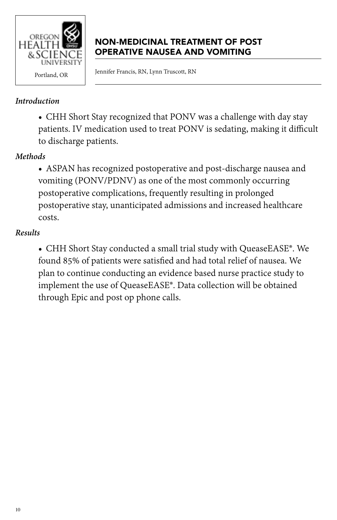

# NON-MEDICINAL TREATMENT OF POST OPERATIVE NAUSEA AND VOMITING

Portland, OR Fennifer Francis, RN, Lynn Truscott, RN

#### *Introduction*

• CHH Short Stay recognized that PONV was a challenge with day stay patients. IV medication used to treat PONV is sedating, making it difficult to discharge patients.

### *Methods*

• ASPAN has recognized postoperative and post-discharge nausea and vomiting (PONV/PDNV) as one of the most commonly occurring postoperative complications, frequently resulting in prolonged postoperative stay, unanticipated admissions and increased healthcare costs.

#### *Results*

• CHH Short Stay conducted a small trial study with QueaseEASE®. We found 85% of patients were satisfied and had total relief of nausea. We plan to continue conducting an evidence based nurse practice study to implement the use of QueaseEASE®. Data collection will be obtained through Epic and post op phone calls.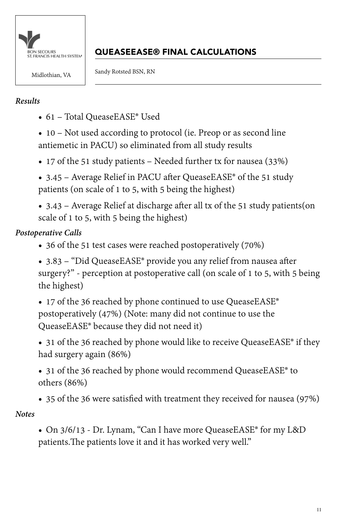

# QUEASEEASE® FINAL CALCULATIONS

Midlothian, VA Sandy Rotsted BSN, RN

### *Results*

• 61 – Total QueaseEASE® Used

• 10 – Not used according to protocol (ie. Preop or as second line antiemetic in PACU) so eliminated from all study results

• 17 of the 51 study patients – Needed further tx for nausea (33%)

• 3.45 – Average Relief in PACU after QueaseEASE<sup>®</sup> of the 51 study patients (on scale of 1 to 5, with 5 being the highest)

• 3.43 – Average Relief at discharge after all tx of the 51 study patients(on scale of 1 to 5, with 5 being the highest)

# *Postoperative Calls*

- 36 of the 51 test cases were reached postoperatively (70%)
- 3.83 "Did QueaseEASE® provide you any relief from nausea after surgery?" - perception at postoperative call (on scale of 1 to 5, with 5 being the highest)

• 17 of the 36 reached by phone continued to use QueaseEASE® postoperatively (47%) (Note: many did not continue to use the QueaseEASE® because they did not need it)

• 31 of the 36 reached by phone would like to receive QueaseEASE® if they had surgery again (86%)

- 31 of the 36 reached by phone would recommend QueaseEASE® to others (86%)
- 35 of the 36 were satisfied with treatment they received for nausea (97%)

# *Notes*

• On 3/6/13 - Dr. Lynam, "Can I have more QueaseEASE® for my L&D patients.The patients love it and it has worked very well."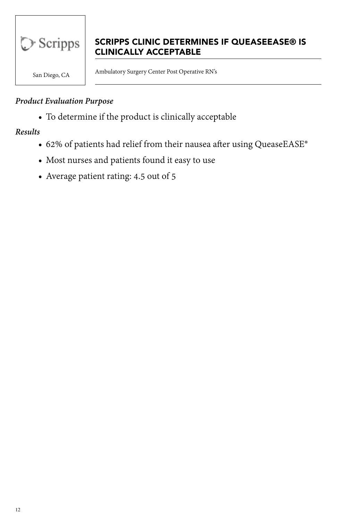

# SCRIPPS CLINIC DETERMINES IF QUEASEEASE® IS CLINICALLY ACCEPTABLE

San Diego, CA Ambulatory Surgery Center Post Operative RN's

#### *Product Evaluation Purpose*

• To determine if the product is clinically acceptable

*Results*

- 62% of patients had relief from their nausea after using QueaseEASE®
- Most nurses and patients found it easy to use
- Average patient rating: 4.5 out of 5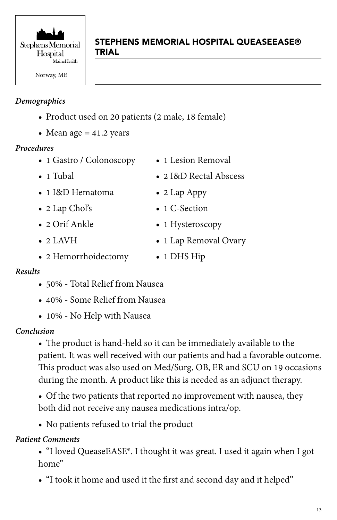

# STEPHENS MEMORIAL HOSPITAL QUEASEEASE® TRIAL

### *Demographics*

- Product used on 20 patients (2 male, 18 female)
- Mean age  $= 41.2$  years

#### *Procedures*

- 1 Gastro / Colonoscopy
- 1 Tubal
- 1 I&D Hematoma
- 2 Lap Chol's
- 2 Orif Ankle
- $\bullet$  2 LAVH
- 2 Hemorrhoidectomy
- 1 Lesion Removal
- 2 I&D Rectal Abscess
- 2 Lap Appy
- 1 C-Section
- 1 Hysteroscopy
- 1 Lap Removal Ovary
- 1 DHS Hip

#### *Results*

- 50% Total Relief from Nausea
- 40% Some Relief from Nausea
- 10% No Help with Nausea

#### *Conclusion*

• The product is hand-held so it can be immediately available to the patient. It was well received with our patients and had a favorable outcome. This product was also used on Med/Surg, OB, ER and SCU on 19 occasions during the month. A product like this is needed as an adjunct therapy.

• Of the two patients that reported no improvement with nausea, they both did not receive any nausea medications intra/op.

• No patients refused to trial the product

# *Patient Comments*

• "I loved QueaseEASE®. I thought it was great. I used it again when I got home"

• "I took it home and used it the first and second day and it helped"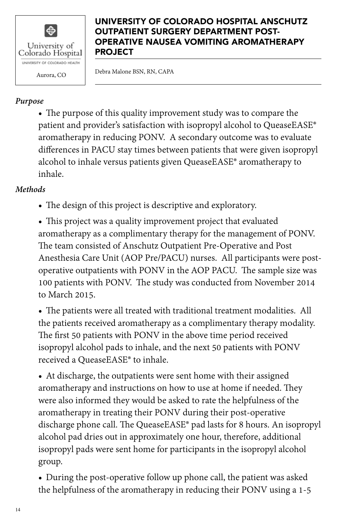

Aurora, CO Debra Malone BSN, RN, CAPA

# *Purpose*

• The purpose of this quality improvement study was to compare the patient and provider's satisfaction with isopropyl alcohol to QueaseEASE® aromatherapy in reducing PONV. A secondary outcome was to evaluate differences in PACU stay times between patients that were given isopropyl alcohol to inhale versus patients given QueaseEASE® aromatherapy to inhale.

### *Methods*

• The design of this project is descriptive and exploratory.

• This project was a quality improvement project that evaluated aromatherapy as a complimentary therapy for the management of PONV. The team consisted of Anschutz Outpatient Pre-Operative and Post Anesthesia Care Unit (AOP Pre/PACU) nurses. All participants were postoperative outpatients with PONV in the AOP PACU. The sample size was 100 patients with PONV. The study was conducted from November 2014 to March 2015.

• The patients were all treated with traditional treatment modalities. All the patients received aromatherapy as a complimentary therapy modality. The first 50 patients with PONV in the above time period received isopropyl alcohol pads to inhale, and the next 50 patients with PONV received a QueaseEASE® to inhale.

• At discharge, the outpatients were sent home with their assigned aromatherapy and instructions on how to use at home if needed. They were also informed they would be asked to rate the helpfulness of the aromatherapy in treating their PONV during their post-operative discharge phone call. The QueaseEASE® pad lasts for 8 hours. An isopropyl alcohol pad dries out in approximately one hour, therefore, additional isopropyl pads were sent home for participants in the isopropyl alcohol group.

• During the post-operative follow up phone call, the patient was asked the helpfulness of the aromatherapy in reducing their PONV using a 1-5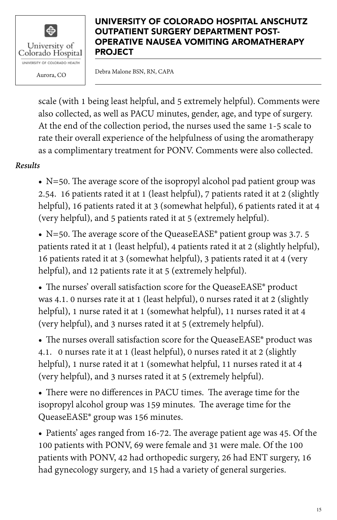

Aurora, CO Debra Malone BSN, RN, CAPA

scale (with 1 being least helpful, and 5 extremely helpful). Comments were also collected, as well as PACU minutes, gender, age, and type of surgery. At the end of the collection period, the nurses used the same 1-5 scale to rate their overall experience of the helpfulness of using the aromatherapy as a complimentary treatment for PONV. Comments were also collected.

*Results*

• N=50. The average score of the isopropyl alcohol pad patient group was 2.54. 16 patients rated it at 1 (least helpful), 7 patients rated it at 2 (slightly helpful), 16 patients rated it at 3 (somewhat helpful), 6 patients rated it at 4 (very helpful), and 5 patients rated it at 5 (extremely helpful).

• N=50. The average score of the QueaseEASE<sup>®</sup> patient group was 3.7. 5 patients rated it at 1 (least helpful), 4 patients rated it at 2 (slightly helpful), 16 patients rated it at 3 (somewhat helpful), 3 patients rated it at 4 (very helpful), and 12 patients rate it at 5 (extremely helpful).

• The nurses' overall satisfaction score for the QueaseEASE® product was 4.1. 0 nurses rate it at 1 (least helpful), 0 nurses rated it at 2 (slightly helpful), 1 nurse rated it at 1 (somewhat helpful), 11 nurses rated it at 4 (very helpful), and 3 nurses rated it at 5 (extremely helpful).

• The nurses overall satisfaction score for the QueaseEASE® product was 4.1. 0 nurses rate it at 1 (least helpful), 0 nurses rated it at 2 (slightly helpful), 1 nurse rated it at 1 (somewhat helpful, 11 nurses rated it at 4 (very helpful), and 3 nurses rated it at 5 (extremely helpful).

• There were no differences in PACU times. The average time for the isopropyl alcohol group was 159 minutes. The average time for the QueaseEASE® group was 156 minutes.

• Patients' ages ranged from 16-72. The average patient age was 45. Of the 100 patients with PONV, 69 were female and 31 were male. Of the 100 patients with PONV, 42 had orthopedic surgery, 26 had ENT surgery, 16 had gynecology surgery, and 15 had a variety of general surgeries.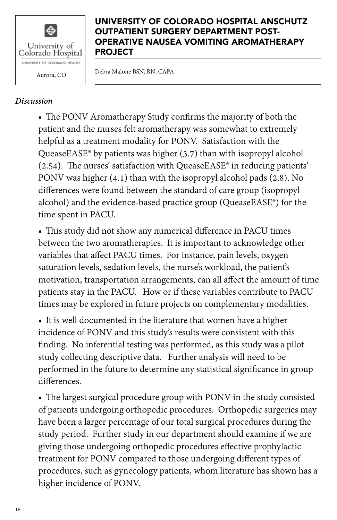

Aurora, CO Debra Malone BSN, RN, CAPA

#### *Discussion*

• The PONV Aromatherapy Study confirms the majority of both the patient and the nurses felt aromatherapy was somewhat to extremely helpful as a treatment modality for PONV. Satisfaction with the QueaseEASE® by patients was higher (3.7) than with isopropyl alcohol (2.54). The nurses' satisfaction with QueaseEASE® in reducing patients' PONV was higher (4.1) than with the isopropyl alcohol pads (2.8). No differences were found between the standard of care group (isopropyl alcohol) and the evidence-based practice group (QueaseEASE®) for the time spent in PACU.

• This study did not show any numerical difference in PACU times between the two aromatherapies. It is important to acknowledge other variables that affect PACU times. For instance, pain levels, oxygen saturation levels, sedation levels, the nurse's workload, the patient's motivation, transportation arrangements, can all affect the amount of time patients stay in the PACU. How or if these variables contribute to PACU times may be explored in future projects on complementary modalities.

• It is well documented in the literature that women have a higher incidence of PONV and this study's results were consistent with this finding. No inferential testing was performed, as this study was a pilot study collecting descriptive data. Further analysis will need to be performed in the future to determine any statistical significance in group differences.

• The largest surgical procedure group with PONV in the study consisted of patients undergoing orthopedic procedures. Orthopedic surgeries may have been a larger percentage of our total surgical procedures during the study period. Further study in our department should examine if we are giving those undergoing orthopedic procedures effective prophylactic treatment for PONV compared to those undergoing different types of procedures, such as gynecology patients, whom literature has shown has a higher incidence of PONV.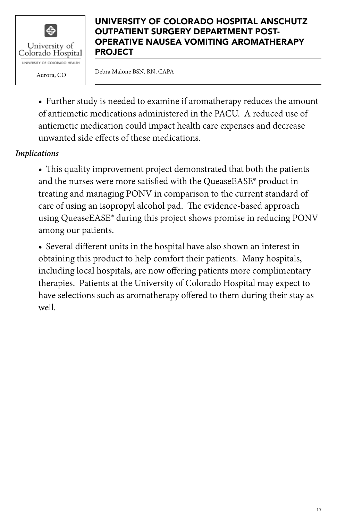

Aurora, CO Debra Malone BSN, RN, CAPA

• Further study is needed to examine if aromatherapy reduces the amount of antiemetic medications administered in the PACU. A reduced use of antiemetic medication could impact health care expenses and decrease unwanted side effects of these medications.

### *Implications*

• This quality improvement project demonstrated that both the patients and the nurses were more satisfied with the QueaseEASE® product in treating and managing PONV in comparison to the current standard of care of using an isopropyl alcohol pad. The evidence-based approach using QueaseEASE® during this project shows promise in reducing PONV among our patients.

• Several different units in the hospital have also shown an interest in obtaining this product to help comfort their patients. Many hospitals, including local hospitals, are now offering patients more complimentary therapies. Patients at the University of Colorado Hospital may expect to have selections such as aromatherapy offered to them during their stay as well.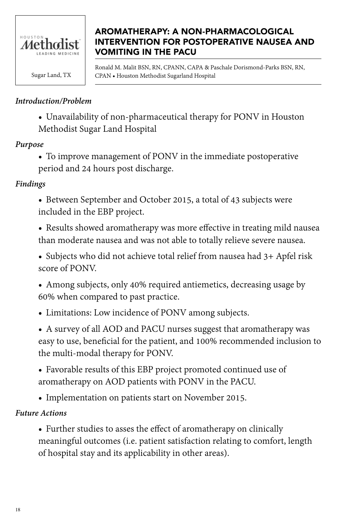

# AROMATHERAPY: A NON-PHARMACOLOGICAL INTERVENTION FOR POSTOPERATIVE NAUSEA AND VOMITING IN THE PACU

Ronald M. Malit BSN, RN, CPANN, CAPA & Paschale Dorismond-Parks BSN, RN, Sugar Land, TX CPAN • Houston Methodist Sugarland Hospital

### *Introduction/Problem*

• Unavailability of non-pharmaceutical therapy for PONV in Houston Methodist Sugar Land Hospital

#### *Purpose*

• To improve management of PONV in the immediate postoperative period and 24 hours post discharge.

#### *Findings*

• Between September and October 2015, a total of 43 subjects were included in the EBP project.

• Results showed aromatherapy was more effective in treating mild nausea than moderate nausea and was not able to totally relieve severe nausea.

• Subjects who did not achieve total relief from nausea had 3+ Apfel risk score of PONV.

• Among subjects, only 40% required antiemetics, decreasing usage by 60% when compared to past practice.

• Limitations: Low incidence of PONV among subjects.

• A survey of all AOD and PACU nurses suggest that aromatherapy was easy to use, beneficial for the patient, and 100% recommended inclusion to the multi-modal therapy for PONV.

- Favorable results of this EBP project promoted continued use of aromatherapy on AOD patients with PONV in the PACU.
- Implementation on patients start on November 2015.

#### *Future Actions*

• Further studies to asses the effect of aromatherapy on clinically meaningful outcomes (i.e. patient satisfaction relating to comfort, length of hospital stay and its applicability in other areas).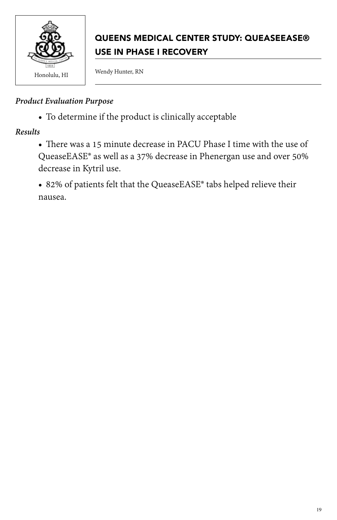

# QUEENS MEDICAL CENTER STUDY: QUEASEEASE® USE IN PHASE I RECOVERY

#### *Product Evaluation Purpose*

• To determine if the product is clinically acceptable

*Results*

• There was a 15 minute decrease in PACU Phase I time with the use of QueaseEASE® as well as a 37% decrease in Phenergan use and over 50% decrease in Kytril use.

• 82% of patients felt that the QueaseEASE® tabs helped relieve their nausea.